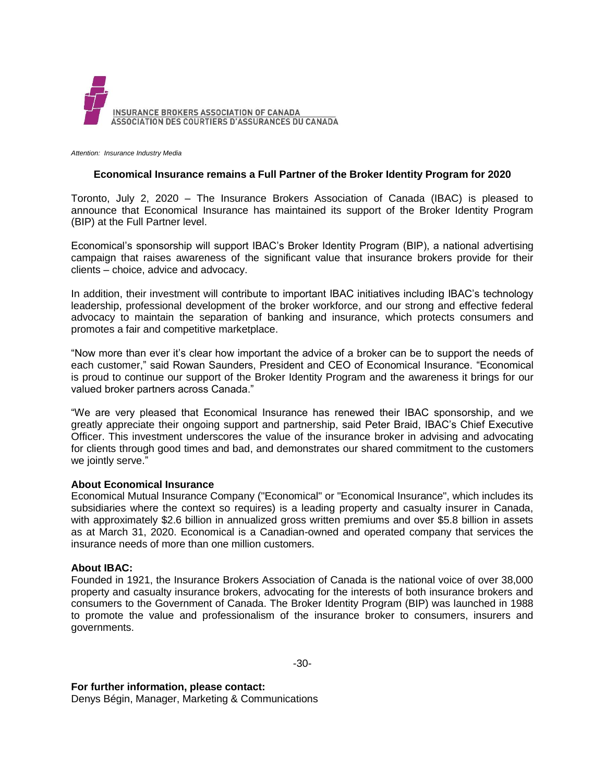

*Attention: Insurance Industry Media*

## **Economical Insurance remains a Full Partner of the Broker Identity Program for 2020**

Toronto, July 2, 2020 – The Insurance Brokers Association of Canada (IBAC) is pleased to announce that Economical Insurance has maintained its support of the Broker Identity Program (BIP) at the Full Partner level.

Economical's sponsorship will support IBAC's Broker Identity Program (BIP), a national advertising campaign that raises awareness of the significant value that insurance brokers provide for their clients – choice, advice and advocacy.

In addition, their investment will contribute to important IBAC initiatives including IBAC's technology leadership, professional development of the broker workforce, and our strong and effective federal advocacy to maintain the separation of banking and insurance, which protects consumers and promotes a fair and competitive marketplace.

"Now more than ever it's clear how important the advice of a broker can be to support the needs of each customer," said Rowan Saunders, President and CEO of Economical Insurance. "Economical is proud to continue our support of the Broker Identity Program and the awareness it brings for our valued broker partners across Canada."

"We are very pleased that Economical Insurance has renewed their IBAC sponsorship, and we greatly appreciate their ongoing support and partnership, said Peter Braid, IBAC's Chief Executive Officer. This investment underscores the value of the insurance broker in advising and advocating for clients through good times and bad, and demonstrates our shared commitment to the customers we jointly serve."

## **About Economical Insurance**

Economical Mutual Insurance Company ("Economical" or "Economical Insurance", which includes its subsidiaries where the context so requires) is a leading property and casualty insurer in Canada, with approximately \$2.6 billion in annualized gross written premiums and over \$5.8 billion in assets as at March 31, 2020. Economical is a Canadian-owned and operated company that services the insurance needs of more than one million customers.

## **About IBAC:**

Founded in 1921, the Insurance Brokers Association of Canada is the national voice of over 38,000 property and casualty insurance brokers, advocating for the interests of both insurance brokers and consumers to the Government of Canada. The Broker Identity Program (BIP) was launched in 1988 to promote the value and professionalism of the insurance broker to consumers, insurers and governments.

**For further information, please contact:**

Denys Bégin, Manager, Marketing & Communications